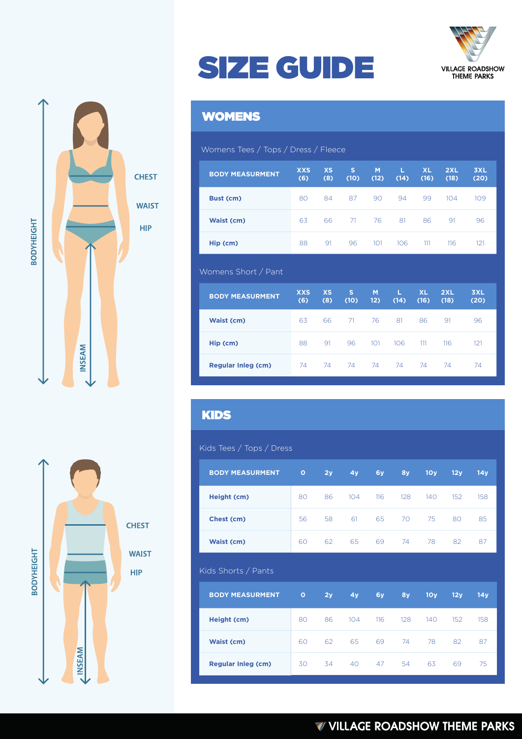



## SIZE GUIDE

## WOMENS

#### Womens Tees / Tops / Dress / Fleece

| <b>BODY MEASURMENT</b> | <b>XXS</b><br>(6) | <b>XS</b><br>(8) | s<br>(10) | M<br>(12) | L<br>(14) | <b>XL</b><br>(16) | 2XL<br>(18) | 3XL<br>(20) |
|------------------------|-------------------|------------------|-----------|-----------|-----------|-------------------|-------------|-------------|
| Bust (cm)              | 80                | 84               | 87        | 90        | 94        | 99                | 104         | 109         |
| <b>Waist (cm)</b>      | 63                | 66               | 71        | 76        | 81        | 86                | 91          | 96          |
| Hip (cm)               | 88                | 91               | 96        | 101       | 106       | 111               | 116         | 121         |

#### Womens Short / Pant

| <b>BODY MEASURMENT</b>    | <b>XXS</b><br>(6) | <b>XS</b><br>(8) | s<br>(10) | M<br>12) | L<br>(14) | <b>XL</b><br>(16) | 2XL<br>(18) | 3XL<br>(20) |
|---------------------------|-------------------|------------------|-----------|----------|-----------|-------------------|-------------|-------------|
| Waist (cm)                | 63                | 66               | 71        | 76       | 81        | 86                | 91          | 96          |
| Hip (cm)                  | 88                | 91               | 96        | 101      | 106       | 111               | 116         | 121         |
| <b>Regular Inleg (cm)</b> | 74                | 74               | -74       | 74       | 74        | 74                | 74          | 74          |

### KIDS

#### Kids Tees / Tops / Dress

| <b>BODY MEASURMENT</b> | $\circ$ | 2y | 4y  | 6y  | 8y  | 10y | 12y | 14y |
|------------------------|---------|----|-----|-----|-----|-----|-----|-----|
| Height (cm)            | 80      | 86 | 104 | 116 | 128 | 140 | 152 | 158 |
| Chest (cm)             | 56      | 58 | 61  | 65  | 70  | 75  | 80  | 85  |
| Waist (cm)             | 60      | 62 | 65  | 69  | 74  | 78  | 82  | 87  |
|                        |         |    |     |     |     |     |     |     |
| Kids Shorts / Pants    |         |    |     |     |     |     |     |     |
| <b>BODY MEASURMENT</b> | $\circ$ | 2y | 4y  | 6y  | 8y  | 10y | 12y | 14y |
| Height (cm)            | 80      | 86 | 104 | 116 | 128 | 140 | 152 | 158 |
| Waist (cm)             | 60      | 62 | 65  | 69  | 74  | 78  | 82  | 87  |



## **W VILLAGE ROADSHOW THEME PARKS**